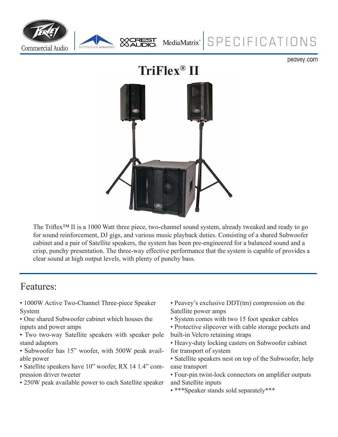

peavey.com



The Triflex<sup>™</sup> II is a 1000 Watt three piece, two-channel sound system, already tweaked and ready to go for sound reinforcement, DJ gigs, and various music playback duties. Consisting of a shared Subwoofer cabinet and a pair of Satellite speakers, the system has been pre-engineered for a balanced sound and a crisp, punchy presentation. The three-way effective performance that the system is capable of provides a clear sound at high output levels, with plenty of punchy bass.

## Features:

• 1000W Active Two-Channel Three-piece Speaker System

• One shared Subwoofer cabinet which houses the inputs and power amps

• Two two-way Satellite speakers with speaker pole stand adaptors

• Subwoofer has 15" woofer, with 500W peak available power

• Satellite speakers have 10" woofer, RX 14 1.4" compression driver tweeter

• 250W peak available power to each Satellite speaker

• Peavey's exclusive DDT(tm) compression on the Satellite power amps

• System comes with two 15 foot speaker cables

• Protective slipcover with cable storage pockets and built-in Velcro retaining straps

• Heavy-duty locking casters on Subwoofer cabinet for transport of system

• Satellite speakers nest on top of the Subwoofer, help ease transport

• Four-pin twist-lock connectors on amplifier outputs and Satellite inputs

• \*\*\*Speaker stands sold separately\*\*\*